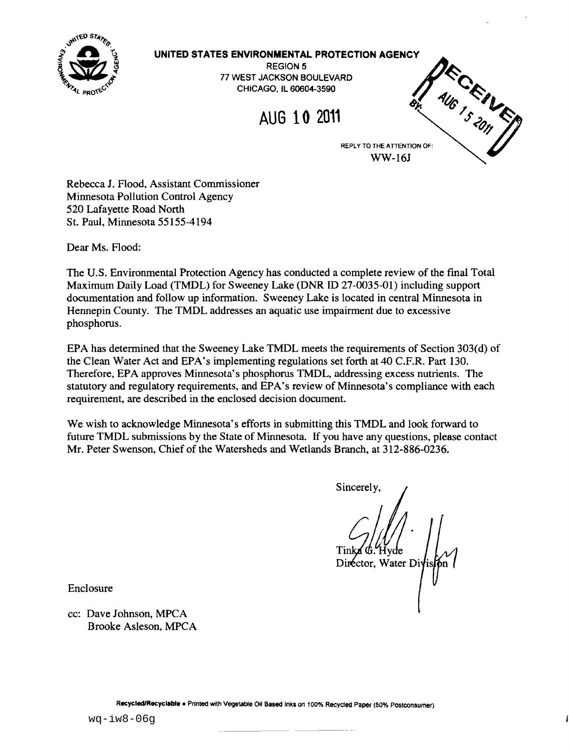

#### **UNITED STATES ENVIRONMENTAL PROTECTION AGENCY**

REGION 5 77 WEST JACKSON BOULEVARD CHICAGO, IL 60604-3590



WW-16J

Rebecca J. Flood, Assistant Commissioner Minnesota Pollution Control Agency 520 Lafayette Road North St. Paul, Minnesota 55155-4194

Dear Ms. Flood:

The U.S. Environmental Protection Agency has conducted a complete review of the final Total Maximum Daily Load (TMDL) for Sweeney Lake (DNR ID 27-0035-01) including support documentation and follow up information. Sweeney Lake is located in central Minnesota in Hennepin County. The TMDL addresses an aquatic use impairment due to excessive phosphorus.

EPA has determined that the Sweeney Lake TMDL meets the requirements of Section 303(d) of the Clean Water Act and EPA's implementing regulations set forth at 40 c.F.R. Part 130. Therefore, EPA approves Minnesota's phosphorus TMDL, addressing excess nutrients. The statutory and regulatory requirements, and EPA's review of Minnesota's compliance with each requirement, are described in the enclosed decision document.

We wish to acknowledge Minnesota's efforts in submitting this TMDL and look forward to future TMDL submissions by the State of Minnesota. If you have any questions, please contact Mr. Peter Swenson, Chief of the Watersheds and Wetlands Branch, at 312-886-0236.

Sincerely, Fvde Director, Water Diy

Enclosure

cc: Dave Johnson, MPCA Brooke Asleson, MPCA

Recycled/Recyclable . Printed with Vegetable Oil Based Inks on 100% Recycled Paper (50% Postconsumer)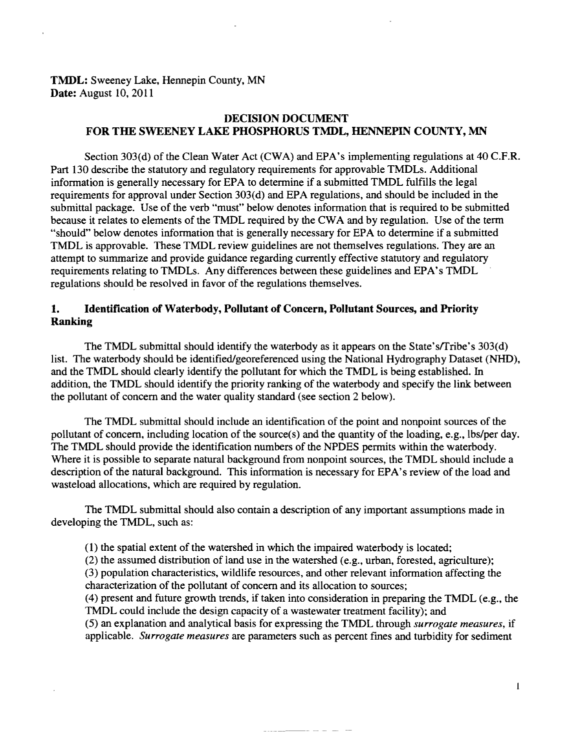## **TMDL:** Sweeney Lake, Hennepin County, MN **Date:** August 10, 2011

## **DECISION DOCUMENT FOR THE SWEENEY LAKE PHOSPHORUS TMDL, HENNEPIN COUNTY, MN**

Section 303(d) of the Clean Water Act (CWA) and EPA's implementing regulations at 40 C.F.R. Part 130 describe the statutory and regulatory requirements for approvable TMDLs. Additional information is generally necessary for EPA to determine if a submitted TMDL fulfills the legal requirements for approval under Section 303(d) and EPA regulations, and should be included in the submittal package. Use of the verb "must" below denotes information that is required to be submitted because it relates to elements of the TMDL required by the CWA and by regulation. Use of the term "should" below denotes information that is generally necessary for EPA to determine if a submitted TMDL is approvable. These TMDL review guidelines are not themselves regulations. They are an attempt to summarize and provide guidance regarding currently effective statutory and regulatory requirements relating to TMDLs. Any differences between these guidelines and EPA's TMDL regulations should be resolved in favor of the regulations themselves.

## **1. Identification of Waterbody, Pollutant of Concern, Pollutant Sources, and Priority Ranking**

The TMDL submittal should identify the waterbody as it appears on the State's/Tribe's 303(d) list. The waterbody should be identified/georeferenced using the National Hydrography Dataset (NHD), and the TMDL should clearly identify the pollutant for which the TMDL is being established. In addition, the TMDL should identify the priority ranking of the waterbody and specify the link between the pollutant of concern and the water quality standard (see section 2 below).

The TMDL submittal should include an identification of the point and nonpoint sources of the pollutant of concern, including location of the source(s) and the quantity of the loading, e.g., lbs/per day. The TMDL should provide the identification numbers of the NPDES permits within the waterbody. Where it is possible to separate natural background from nonpoint sources, the TMDL should include a description of the natural background. This information is necessary for EPA's review of the load and wasteload allocations, which are required by regulation.

The TMDL submittal should also contain a description of any important assumptions made in developing the TMDL, such as:

- (1) the spatial extent of the watershed in which the impaired waterbody is located;
- (2) the assumed distribution of land use in the watershed (e.g., urban, forested, agriculture);

(3) population characteristics, wildlife resources, and other relevant information affecting the characterization of the pollutant of concern and its allocation to sources;

(4) present and future growth trends, if taken into consideration in preparing the TMDL (e.g., the TMDL could include the design capacity of a wastewater treatment facility); and

(5) an explanation and analytical basis for expressing the TMDL through *surrogate measures,* if applicable. *Surrogate measures* are parameters such as percent fines and turbidity for sediment

 $\mathbf{I}$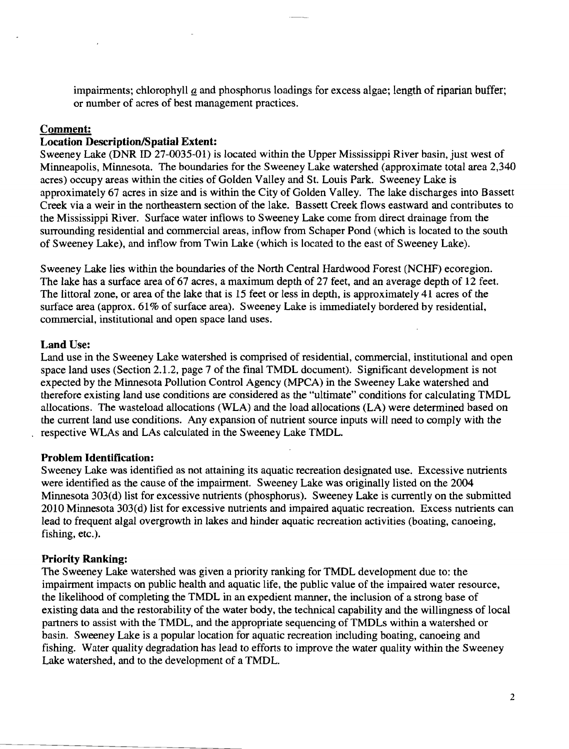impairments; chlorophyll  $q$  and phosphorus loadings for excess algae; length of riparian buffer; or number of acres of best management practices.

## **Comment:**

# **Location Description/Spatial Extent:**

Sweeney Lake (DNR ID 27-0035-01) is located within the Upper Mississippi River basin, just west of Minneapolis, Minnesota. The boundaries for the Sweeney Lake watershed (approximate total area 2,340 acres) occupy areas within the cities of Golden Valley and St. Louis Park. Sweeney Lake is approximately 67 acres in size and is within the City of Golden Valley. The lake discharges into Bassett Creek via a weir in the northeastern section of the lake. Bassett Creek flows eastward and contributes to the Mississippi River. Surface water inflows to Sweeney Lake come from direct drainage from the surrounding residential and commercial areas, inflow from Schaper Pond (which is located to the south of Sweeney Lake), and inflow from Twin Lake (which is located to the east of Sweeney Lake).

Sweeney Lake lies within the boundaries of the North Central Hardwood Forest (NCHF) ecoregion. The lake has a surface area of 67 acres, a maximum depth of 27 feet, and an average depth of 12 feet. The littoral zone, or area of the lake that is 15 feet or less in depth, is approximately 41 acres of the surface area (approx. 61% of surface area). Sweeney Lake is immediately bordered by residential, commercial, institutional and open space land uses.

#### **Land** Use:

Land use in the Sweeney Lake watershed is comprised of residential, commercial, institutional and open space land uses (Section 2.1.2, page 7 of the final TMDL document). Significant development is not expected by the Minnesota Pollution Control Agency (MPCA) in the Sweeney Lake watershed and therefore existing land use conditions are considered as the "ultimate" conditions for calculating TMDL allocations. The wasteload allocations (WLA) and the load allocations (LA) were determined based on the current land use conditions. Any expansion of nutrient source inputs will need to comply with the respective WLAs and LAs calculated in the Sweeney Lake TMDL.

#### **Problem Identification:**

Sweeney Lake was identified as not attaining its aquatic recreation designated use. Excessive nutrients were identified as the cause of the impairment. Sweeney Lake was originally listed on the 2004 Minnesota 303(d) list for excessive nutrients (phosphorus). Sweeney Lake is currently on the submitted 2010 Minnesota 303(d) list for excessive nutrients and impaired aquatic recreation. Excess nutrients can lead to frequent algal overgrowth in lakes and hinder aquatic recreation activities (boating, canoeing, fishing, etc.).

# **Priority Ranking:**

The Sweeney Lake watershed was given a priority ranking for TMDL development due to: the impairment impacts on public health and aquatic life, the public value of the impaired water resource, the likelihood of completing the TMDL in an expedient manner, the inclusion of a strong base of existing data and the restorability of the water body, the technical capability and the willingness of local partners to assist with the TMDL, and the appropriate sequencing of TMDLs within a watershed or basin. Sweeney Lake is a popular location for aquatic recreation including boating, canoeing and fishing. Water quality degradation has lead to efforts to improve the water quality within the Sweeney Lake watershed, and to the development of a TMDL.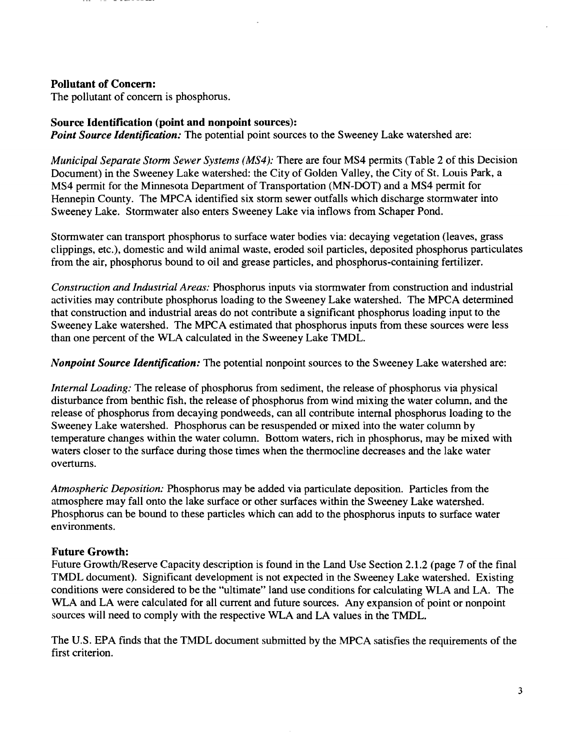## Pollutant of Concern:

The pollutant of concern is phosphorus.

### Source Identification (point and nonpoint sources):

*Point Source Identification:* The potential point sources to the Sweeney Lake watershed are:

*Municipal Separate Storm Sewer Systems (MS4):* There are four MS4 permits (Table 2 of this Decision Document) in the Sweeney Lake watershed: the City of Golden Valley, the City of St. Louis Park, a MS4 permit for the Minnesota Department of Transportation (MN-DOT) and a MS4 permit for Hennepin County. The MPCA identified six storm sewer outfalls which discharge stormwater into Sweeney Lake. Stormwater also enters Sweeney Lake via inflows from Schaper Pond.

Stormwater can transport phosphorus to surface water bodies via: decaying vegetation (leaves, grass clippings, etc.), domestic and wild animal waste, eroded soil particles, deposited phosphorus particulates from the air, phosphorus bound to oil and grease particles, and phosphorus-containing fertilizer.

*Construction and Industrial Areas:* Phosphorus inputs via stormwater from construction and industrial activities may contribute phosphorus loading to the Sweeney Lake watershed. The MPCA determined that construction and industrial areas do not contribute a significant phosphorus loading input to the Sweeney Lake watershed. The MPCA estimated that phosphorus inputs from these sources were less than one percent of the WLA calculated in the Sweeney Lake TMDL.

*Nonpoint Source Identification:* The potential nonpoint sources to the Sweeney Lake watershed are:

*Internal Loading:* The release of phosphorus from sediment, the release of phosphorus via physical disturbance from benthic fish, the release of phosphorus from wind mixing the water column, and the release of phosphorus from decaying pondweeds, can all contribute internal phosphorus loading to the Sweeney Lake watershed. Phosphorus can be resuspended or mixed into the water column by temperature changes within the water column. Bottom waters, rich in phosphorus, may be mixed with waters closer to the surface during those times when the thermocline decreases and the lake water overturns.

*Atmospheric Deposition:* Phosphorus may be added via particulate deposition. Particles from the atmosphere may fall onto the lake surface or other surfaces within the Sweeney Lake watershed. Phosphorus can be bound to these particles which can add to the phosphorus inputs to surface water environments.

# Future Growth:

Future Growth/Reserve Capacity description is found in the Land Use Section 2.1.2 (page 7 of the final TMDL document). Significant development is not expected in the Sweeney Lake watershed. Existing conditions were considered to be the "ultimate" land use conditions for calculating WLA and LA. The WLA and LA were calculated for all current and future sources. Any expansion of point or nonpoint sources will need to comply with the respective WLA and LA values in the TMDL.

The U.S. EPA finds that the TMDL document submitted by the MPCA satisfies the requirements of the first criterion.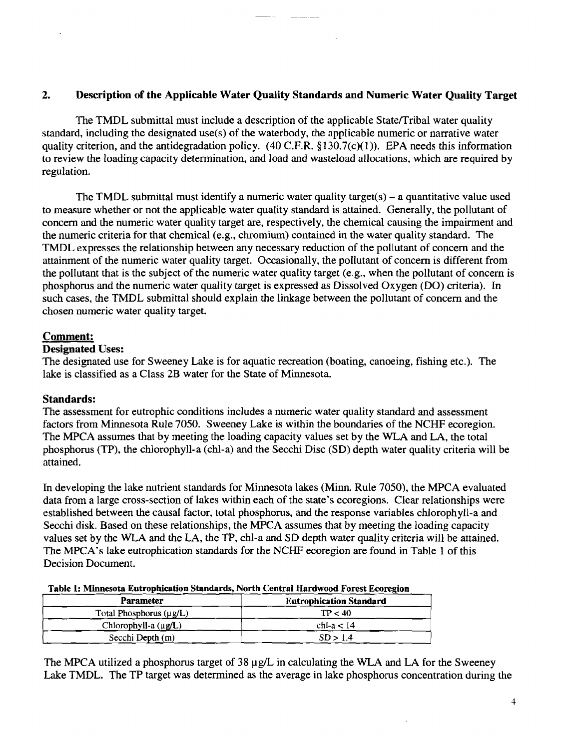# 2. Description of the Applicable Water Quality Standards and Numeric Water Quality Target

The TMDL submittal must include a description of the applicable State/Tribal water quality standard, including the designated use(s) of the waterbody, the applicable numeric or narrative water quality criterion, and the antidegradation policy.  $(40 \text{ C.F.R. } §130.7(c)(1))$ . EPA needs this information to review the loading capacity determination, and load and wasteload allocations, which are required by regulation.

The TMDL submittal must identify a numeric water quality target(s)  $-$  a quantitative value used to measure whether or not the applicable water quality standard is attained. Generally, the pollutant of concern and the numeric water quality target are, respectively, the chemical causing the impairment and the numeric criteria for that chemical (e.g., chromium) contained in the water quality standard. The TMDL expresses the relationship between any necessary reduction of the pollutant of concern and the attainment of the numeric water quality target. Occasionally, the pollutant of concern is different from the pollutant that is the subject of the numeric water quality target (e.g., when the pollutant of concern is phosphorus and the numeric water quality target is expressed as Dissolved Oxygen (DO) criteria). In such cases, the TMDL submittal should explain the linkage between the pollutant of concern and the chosen numeric water quality target.

# Comment:

# Designated Uses:

The designated use for Sweeney Lake is for aquatic recreation (boating, canoeing, fishing etc.). The lake is classified as a Class 2B water for the State of Minnesota.

# Standards:

The assessment for eutrophic conditions includes a numeric water quality standard and assessment factors from Minnesota Rule 7050. Sweeney Lake is within the boundaries of the NCHF ecoregion. The MPCA assumes that by meeting the loading capacity values set by the WLA and LA, the total phosphorus (TP), the chlorophyll-a (chI-a) and the Secchi Disc (SD) depth water quality criteria will be attained.

In developing the lake nutrient standards for Minnesota lakes (Minn. Rule 7050), the MPCA evaluated data from a large cross-section of lakes within each of the state's ecoregions. Clear relationships were established between the causal factor, total phosphorus, and the response variables chlorophyll-a and Secchi disk. Based on these relationships, the MPCA assumes that by meeting the loading capacity values set by the WLA and the LA, the TP, chl-a and SD depth water quality criteria will be attained. The MPCA's lake eutrophication standards for the NCHF ecoregion are found in Table 1 of this Decision Document.

| Table 1: Minnesota Eutrophication Standards, North Central Hardwood Forest Ecoregion |  |  |
|--------------------------------------------------------------------------------------|--|--|
|                                                                                      |  |  |

| Parameter                    | <b>Eutrophication Standard</b> |
|------------------------------|--------------------------------|
| Total Phosphorus $(\mu g/L)$ | TP < 40                        |
| Chlorophyll-a $(\mu g/L)$    | chl-a $<$ 14                   |
| Secchi Depth (m)             | SD > 1.4                       |

The MPCA utilized a phosphorus target of  $38 \mu g/L$  in calculating the WLA and LA for the Sweeney Lake TMDL. The TP target was determined as the average in lake phosphorus concentration during the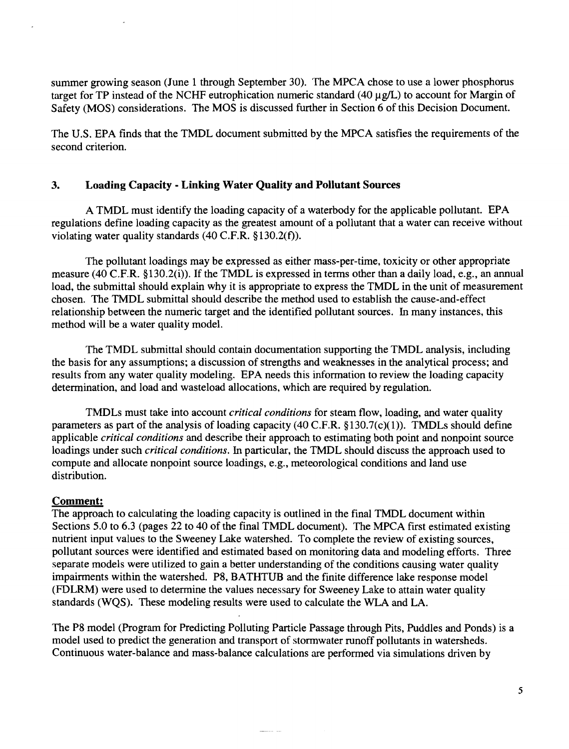summer growing season (June 1 through September 30). The MPCA chose to use a lower phosphorus target for TP instead of the NCHF eutrophication numeric standard  $(40 \mu g/L)$  to account for Margin of Safety (MOS) considerations. The MOS is discussed further in Section 6 of this Decision Document.

The U.S. EPA finds that the TMDL document submitted by the MPCA satisfies the requirements of the second criterion.

# **3. Loading Capacity - Linking Water Quality and Pollutant Sources**

A TMDL must identify the loading capacity of a waterbody for the applicable pollutant. EPA regulations define loading capacity as the greatest amount of a pollutant that a water can receive without violating water quality standards  $(40 \text{ C.F.R. } §130.2(f)).$ 

The pollutant loadings may be expressed as either mass-per-time, toxicity or other appropriate measure (40 C.F.R. §130.2(i)). If the TMDL is expressed in terms other than a daily load, e.g., an annual load, the submittal should explain why it is appropriate to express the TMDL in the unit of measurement chosen. The TMDL submittal should describe the method used to establish the cause-and-effect relationship between the numeric target and the identified pollutant sources. In many instances, this method will be a water quality model.

The TMDL submittal should contain documentation supporting the TMDL analysis, including the basis for any assumptions; a discussion of strengths and weaknesses in the analytical process; and results from any water quality modeling. EPA needs this information to review the loading capacity determination, and load and wasteload allocations, which are required by regulation.

TMDLs must take into account *critical conditions* for steam flow, loading, and water quality parameters as part of the analysis of loading capacity (40 C.F.R.  $$130.7(c)(1)$ ). TMDLs should define applicable *critical conditions* and describe their approach to estimating both point and nonpoint source loadings under such *critical conditions.* In particular, the TMDL should discuss the approach used to compute and allocate nonpoint source loadings, e.g., meteorological conditions and land use distribution.

# **Comment:**

The approach to calculating the loading capacity is outlined in the final TMDL document within Sections 5.0 to 6.3 (pages 22 to 40 of the final TMDL document). The MPCA first estimated existing nutrient input values to the Sweeney Lake watershed. To complete the review of existing sources, pollutant sources were identified and estimated based on monitoring data and modeling efforts. Three separate models were utilized to gain a better understanding of the conditions causing water quality impairments within the watershed. P8, BATHTUB and the finite difference lake response model (FDLRM) were used to determine the values necessary for Sweeney Lake to attain water quality standards (WQS). These modeling results were used to calculate the WLA and LA.

The P8 model (Program for Predicting Polluting Particle Passage through Pits, Puddles and Ponds) is a model used to predict the generation and transport of stormwater runoff pollutants in watersheds. Continuous water-balance and mass-balance calculations are performed via simulations driven by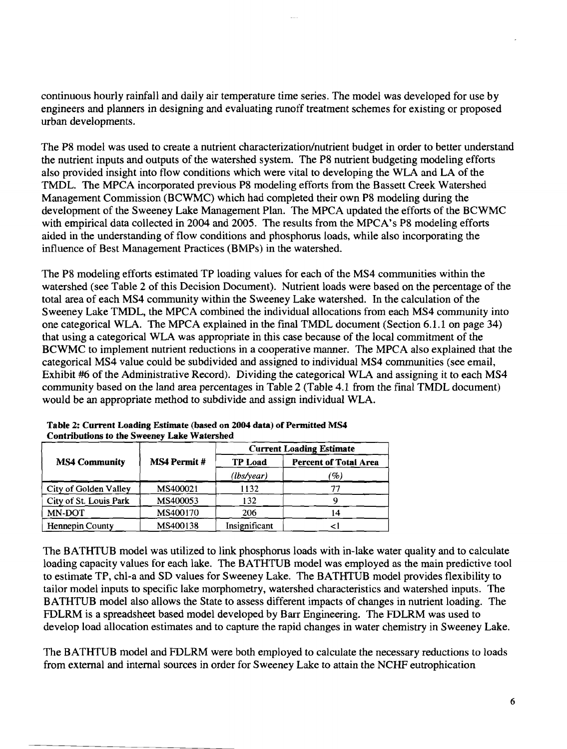continuous hourly rainfall and daily air temperature time series. The model was developed for use by engineers and planners in designing and evaluating runoff treatment schemes for existing or proposed urban developments.

The P8 model was used to create a nutrient characterization/nutrient budget in order to better understand the nutrient inputs and outputs of the watershed system. The P8 nutrient budgeting modeling efforts also provided insight into flow conditions which were vital to developing the WLA and LA of the TMDL. The MPCA incorporated previous P8 modeling efforts from the Bassett Creek Watershed Management Commission (BCWMC) which had completed their own P8 modeling during the development of the Sweeney Lake Management Plan. The MPCA updated the efforts of the BCWMC with empirical data collected in 2004 and 2005. The results from the MPCA's P8 modeling efforts aided in the understanding of flow conditions and phosphorus loads, while also incorporating the influence of Best Management Practices (BMPs) in the watershed.

The P8 modeling efforts estimated TP loading values for each of the MS4 communities within the watershed (see Table 2 of this Decision Document). Nutrient loads were based on the percentage of the total area of each MS4 community within the Sweeney Lake watershed. In the calculation of the Sweeney Lake TMDL, the MPCA combined the individual allocations from each MS4 community into one categorical WLA. The MPCA explained in the final TMDL document (Section 6.1.1 on page 34) that using a categorical WLA was appropriate in this case because of the local commitment of the BCWMC to implement nutrient reductions in a cooperative manner. The MPCA also explained that the categorical MS4 value could be subdivided and assigned to individual MS4 communities (see email, Exhibit #6 of the Administrative Record). Dividing the categorical WLA and assigning it to each MS4 community based on the land area percentages in Table 2 (Table 4.1 from the final TMDL document) would be an appropriate method to subdivide and assign individual WLA.

|                        |                    | <b>Current Loading Estimate</b> |                              |  |
|------------------------|--------------------|---------------------------------|------------------------------|--|
| <b>MS4 Community</b>   | <b>MS4 Permit#</b> | <b>TP Load</b>                  | <b>Percent of Total Area</b> |  |
|                        |                    | (lbs/year)                      | $\mathscr{G}_o$ )            |  |
| City of Golden Valley  | MS400021           | 1132                            |                              |  |
| City of St. Louis Park | MS400053           | 132                             |                              |  |
| MN-DOT                 | MS400170           | 206                             | 14                           |  |
| Hennepin County        | MS400138           | Insignificant                   |                              |  |

| Table 2: Current Loading Estimate (based on 2004 data) of Permitted MS4 |
|-------------------------------------------------------------------------|
| <b>Contributions to the Sweeney Lake Watershed</b>                      |

The BATHTUB model was utilized to link phosphorus loads with in-lake water quality and to calculate loading capacity values for each lake. The BATHTUB model was employed as the main predictive tool to estimate TP, chl-a and SD values for Sweeney Lake. The BATHTUB model provides flexibility to tailor model inputs to specific lake morphometry, watershed characteristics and watershed inputs. The BATHTUB model also allows the State to assess different impacts of changes in nutrient loading. The FDLRM is a spreadsheet based model developed by Barr Engineering. The FDLRM was used to develop load allocation estimates and to capture the rapid changes in water chemistry in Sweeney Lake.

The BATHTUB model and FDLRM were both employed to calculate the necessary reductions to loads from external and internal sources in order for Sweeney Lake to attain the NCHF eutrophication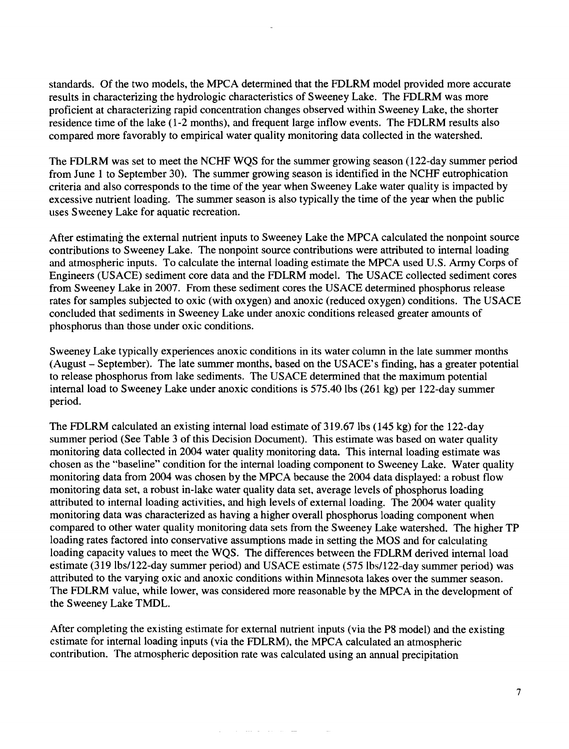standards. Of the two models, the MPCA determined that the FDLRM model provided more accurate results in characterizing the hydrologic characteristics of Sweeney Lake. The FDLRM was more proficient at characterizing rapid concentration changes observed within Sweeney Lake, the shorter residence time of the lake (1-2 months), and frequent large inflow events. The FDLRM results also compared more favorably to empirical water quality monitoring data collected in the watershed.

The FDLRM was set to meet the NCHF WQS for the summer growing season (122-day summer period from June 1 to September 30). The summer growing season is identified in the NCHF eutrophication criteria and also corresponds to the time of the year when Sweeney Lake water quality is impacted by excessive nutrient loading. The summer season is also typically the time of the year when the public uses Sweeney Lake for aquatic recreation.

After estimating the external nutrient inputs to Sweeney Lake the MPCA calculated the nonpoint source contributions to Sweeney Lake. The nonpoint source contributions were attributed to internal loading and atmospheric inputs. To calculate the internal loading estimate the MPCA used U.S. Army Corps of Engineers (USACE) sediment core data and the FDLRM model. The USACE collected sediment cores from Sweeney Lake in 2007. From these sediment cores the USACE determined phosphorus release rates for samples subjected to oxic (with oxygen) and anoxic (reduced oxygen) conditions. The USACE concluded that sediments in Sweeney Lake under anoxic conditions released greater amounts of phosphorus than those under oxic conditions.

Sweeney Lake typically experiences anoxic conditions in its water column in the late summer months (August - September). The late summer months, based on the USACE's finding, has a greater potential to release phosphorus from lake sediments. The USACE determined that the maximum potential internal load to Sweeney Lake under anoxic conditions is 575.40 lbs (261 kg) per 122-day summer period.

The FDLRM calculated an existing internal load estimate of 319.67 lbs (145 kg) for the 122-day summer period (See Table 3 of this Decision Document). This estimate was based on water quality monitoring data collected in 2004 water quality monitoring data. This internal loading estimate was chosen as the "baseline" condition for the internal loading component to Sweeney Lake. Water quality monitoring data from 2004 was chosen by the MPCA because the 2004 data displayed: a robust flow monitoring data set, a robust in-lake water quality data set, average levels of phosphorus loading attributed to internal loading activities, and high levels of external loading. The 2004 water quality monitoring data was characterized as having a higher overall phosphorus loading component when compared to other water quality monitoring data sets from the Sweeney Lake watershed. The higher TP loading rates factored into conservative assumptions made in setting the MOS and for calculating loading capacity values to meet the WQS. The differences between the FDLRM derived internal load estimate (319 lbs/122-day summer period) and USACE estimate (575 lbs/122-day summer period) was attributed to the varying oxic and anoxic conditions within Minnesota lakes over the summer season. The FDLRM value, while lower, was considered more reasonable by the MPCA in the development of the Sweeney Lake TMDL.

After completing the existing estimate for external nutrient inputs (via the P8 model) and the existing estimate for internal loading inputs (via the FDLRM), the MPCA calculated an atmospheric contribution. The atmospheric deposition rate was calculated using an annual precipitation

 $\hat{u}^{(1)}_{\rm{max}}$  , where  $\hat{u}^{(1)}_{\rm{max}}$  is a constant of the same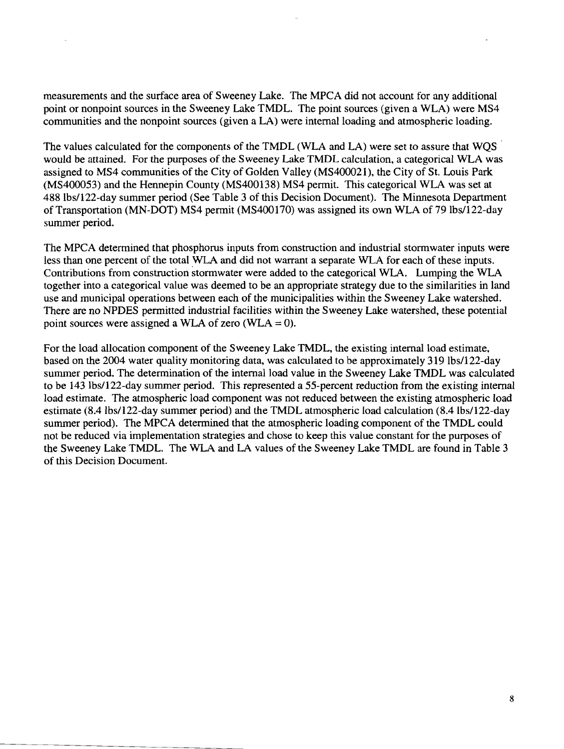measurements and the surface area of Sweeney Lake. The MPCA did not account for any additional point or nonpoint sources in the Sweeney Lake TMDL. The point sources (given a WLA) were MS4 communities and the nonpoint sources (given a LA) were internal loading and atmospheric loading.

The values calculated for the components of the TMDL (WLA and LA) were set to assure that WQS . would be attained. For the purposes of the Sweeney Lake TMDL calculation, a categorical WLA was assigned to MS4 communities of the City of Golden Valley (MS400021), the City of St. Louis Park (MS400053) and the Hennepin County (MS400138) MS4 permit. This categorical WLA was set at 488 Ibs/122-day summer period (See Table 3 of this Decision Document). The Minnesota Department of Transportation (MN-DOT) MS4 permit (MS400170) was assigned its own WLA of 79 lbs/122-day summer period.

The MPCA determined that phosphorus inputs from construction and industrial stormwater inputs were less than one percent of the total WLA and did not warrant a separate WLA for each of these inputs. Contributions from construction stormwater were added to the categorical WLA. Lumping the WLA together into a categorical value was deemed to be an appropriate strategy due to the similarities in land use and municipal operations between each of the municipalities within the Sweeney Lake watershed. There are no NPDES permitted industrial facilities within the Sweeney Lake watershed, these potential point sources were assigned a WLA of zero (WLA =  $0$ ).

For the load allocation component of the Sweeney Lake TMDL, the existing internal load estimate, based on the 2004 water quality monitoring data, was calculated to be approximately 319 Ibs/122-day summer period. The determination of the internal load value in the Sweeney Lake TMDL was calculated to be 143 Ibs/122-day summer period. This represented a 55-percent reduction from the existing internal load estimate. The atmospheric load component was not reduced between the existing atmospheric load estimate (8.4 lbs/122-day summer period) and the TMDL atmospheric load calculation (8.4 lbs/122-day summer period). The MPCA determined that the atmospheric loading component of the TMDL could not be reduced via implementation strategies and chose to keep this value constant for the purposes of the Sweeney Lake TMDL. The WLA and LA values of the Sweeney Lake TMDL are found in Table 3 of this Decision Document.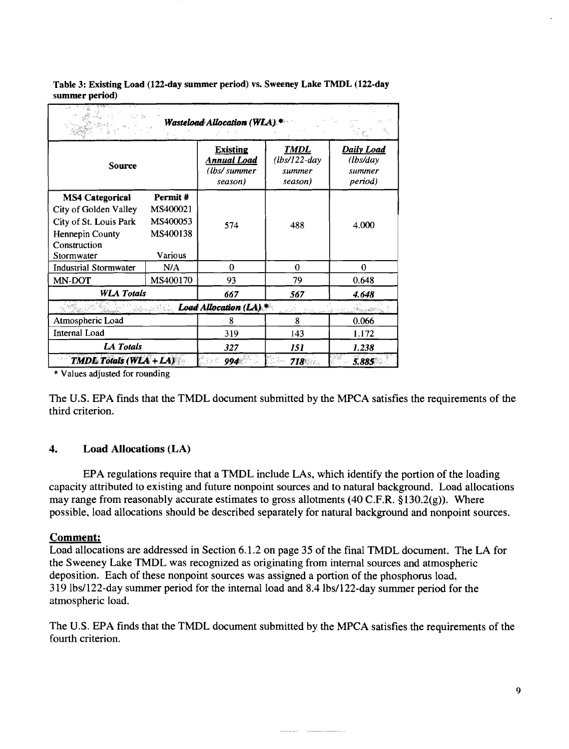|                                                                                                                            |                                                        | Wasteload Allocation (WLA).*                                     |                                                     |                                             |
|----------------------------------------------------------------------------------------------------------------------------|--------------------------------------------------------|------------------------------------------------------------------|-----------------------------------------------------|---------------------------------------------|
| <b>Source</b>                                                                                                              |                                                        | <b>Existing</b><br>Ann <u>ual Load</u><br>(lbs/summer<br>season) | <b>TMDL</b><br>$(lbs/122$ -day<br>summer<br>season) | Daily Load<br>(lbs/day<br>summer<br>period) |
| <b>MS4 Categorical</b><br>City of Golden Valley<br>City of St. Louis Park<br>Hennepin County<br>Construction<br>Stormwater | Permit#<br>MS400021<br>MS400053<br>MS400138<br>Various | 574                                                              | 488                                                 | 4.000                                       |
| <b>Industrial Stormwater</b>                                                                                               | N/A                                                    | 0                                                                | $\Omega$                                            | $\Omega$                                    |
| MN-DOT                                                                                                                     | MS400170                                               | 93                                                               | 79                                                  | 0.648                                       |
| <b>WLA Totals</b>                                                                                                          |                                                        | 667                                                              | 567                                                 | 4.648                                       |
|                                                                                                                            |                                                        | Load Allocation (LA).*                                           | 一般の死                                                | - a mar a Starting Albert St                |
| Atmospheric Load                                                                                                           |                                                        | 8                                                                | 8                                                   | 0.066                                       |
| <b>Internal Load</b>                                                                                                       |                                                        | 319                                                              | 143                                                 | 1.172                                       |
| LA Totals                                                                                                                  |                                                        | 327                                                              | 151                                                 | 1.238                                       |
| TMDL Totals (WLA+LA)                                                                                                       |                                                        | 994                                                              | 718                                                 | 5.885                                       |

Table 3: Existing Load (122-day summer period) vs. Sweeney Lake TMDL (122-day summer period)

\* Values adjusted for rounding

The U.S. EPA finds that the TMDL document submitted by the MPCA satisfies the requirements of the third criterion.

#### 4. Load Allocations (LA)

EPA regulations require that a TMDL include LAs, which identify the portion of the loading capacity attributed to existing and future nonpoint sources and to natural background. Load allocations may range from reasonably accurate estimates to gross allotments (40 C.F.R.  $\S$ 130.2(g)). Where possible, load allocations should be described separately for natural background and nonpoint sources.

#### Comment:

Load allocations are addressed in Section 6.1.2 on page 35 of the final TMDL document. The LA for the Sweeney Lake TMDL was recognized as originating from internal sources and atmospheric deposition. Each of these nonpoint sources was assigned a portion of the phosphorus load, 319Ibs/122-day summer period for the internal load and 8.4lbs/122-day summer period for the atmospheric load.

The U.S. EPA finds that the TMDL document submitted by the MPCA satisfies the requirements of the fourth criterion.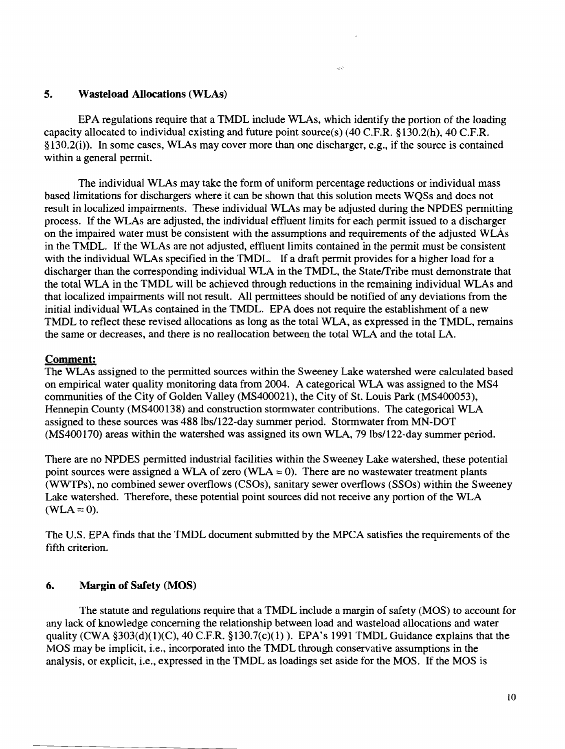#### 5. Wasteload Allocations (WLAs)

EPA regulations require that a TMDL include WLAs, which identify the portion of the loading capacity allocated to individual existing and future point source(s)  $(40 \text{ C.F.R.} \$ §130.2(h), 40 C.F.R.  $\S130.2(i)$ . In some cases, WLAs may cover more than one discharger, e.g., if the source is contained within a general permit.

The individual WLAs may take the form of uniform percentage reductions or individual mass based limitations for dischargers where it can be shown that this solution meets WQSs and does not result in localized impairments. These individual WLAs may be adjusted during the NPDES permitting process. If the WLAs are adjusted, the individual effluent limits for each permit issued to a discharger on the impaired water must be consistent with the assumptions and requirements of the adjusted WLAs in the TMDL. If the WLAs are not adjusted, effluent limits contained in the permit must be consistent with the individual WLAs specified in the TMDL. If a draft permit provides for a higher load for a discharger than the corresponding individual WLA in the TMDL, the State/Tribe must demonstrate that the total WLA in the TMDL will be achieved through reductions in the remaining individual WLAs and that localized impairments will not result. All permittees should be notified of any deviations from the initial individual WLAs contained in the TMDL. EPA does not require the establishment of a new TMDL to reflect these revised allocations as long as the total WLA, as expressed in the TMDL, remains the same or decreases, and there is no reallocation between the total WLA and the total LA.

#### Comment:

The WLAs assigned to the permitted sources within the Sweeney Lake watershed were calculated based on empirical water quality monitoring data from 2004. A categorical WLA was assigned to the MS4 communities of the City of Golden Valley (MS400021), the City of St. Louis Park (MS400053), Hennepin County (MS400138) and construction stormwater contributions. The categorical WLA assigned to these sources was 488 lbs/122-day summer period. Stormwater from MN-DOT (MS400170) areas within the watershed was assigned its own WLA, 79lbs/122-day summer period.

There are no NPDES permitted industrial facilities within the Sweeney Lake watershed, these potential point sources were assigned a WLA of zero (WLA  $= 0$ ). There are no wastewater treatment plants (WWTPs), no combined sewer overflows (CSOs), sanitary sewer overflows (SSOs) within the Sweeney Lake watershed. Therefore, these potential point sources did not receive any portion of the WLA  $(WLA=0)$ .

The U.S. EPA finds that the TMDL document submitted by the MPCA satisfies the requirements of the fifth criterion.

#### 6. Margin of Safety (MOS)

The statute and regulations require that a TMDL include a margin of safety (MOS) to account for any lack of knowledge concerning the relationship between load and wasteload allocations and water quality (CWA  $\S 303(d)(1)(C)$ , 40 C.F.R.  $\S 130.7(c)(1)$ ). EPA's 1991 TMDL Guidance explains that the MOS may be implicit, i.e., incorporated into the TMDL through conservative assumptions in the analysis, or explicit, i.e., expressed in the TMDL as loadings set aside for the MOS. If the MOS is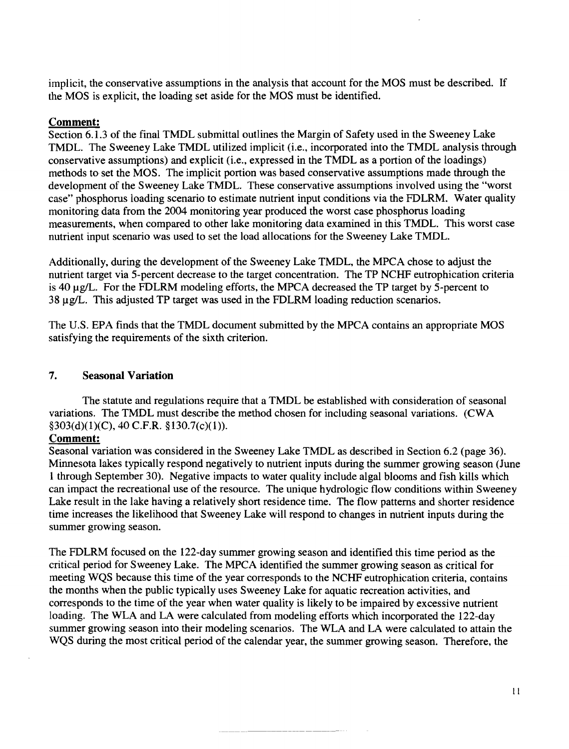implicit, the conservative assumptions in the analysis that account for the MOS must be described. If the MOS is explicit, the loading set aside for the MOS must be identified.

## **Comment:**

Section 6.1.3 of the final TMDL submittal outlines the Margin of Safety used in the Sweeney Lake TMDL. The Sweeney Lake TMDL utilized implicit (i.e., incorporated into the TMDL analysis through conservative assumptions) and explicit (i.e., expressed in the TMDL as a portion of the loadings) methods to set the MOS. The implicit portion was based conservative assumptions made through the development of the Sweeney Lake TMDL. These conservative assumptions involved using the "worst case" phosphorus loading scenario to estimate nutrient input conditions via the FDLRM. Water quality monitoring data from the 2004 monitoring year produced the worst case phosphorus loading measurements, when compared to other lake monitoring data examined in this TMDL. This worst case nutrient input scenario was used to set the load allocations for the Sweeney Lake TMDL.

Additionally, during the development of the Sweeney Lake TMDL, the MPCA chose to adjust the nutrient target via 5-percent decrease to the target concentration. The TP NCHF eutrophication criteria is 40  $\mu$ g/L. For the FDLRM modeling efforts, the MPCA decreased the TP target by 5-percent to  $38 \mu g/L$ . This adjusted TP target was used in the FDLRM loading reduction scenarios.

The U.S. EPA finds that the TMDL document submitted by the MPCA contains an appropriate MOS satisfying the requirements of the sixth criterion.

### **7. Seasonal Variation**

The statute and regulations require that a TMDL be established with consideration of seasonal variations. The TMDL must describe the method chosen for including seasonal variations. (CWA  $§303(d)(1)(C)$ , 40 C.F.R.  $§130.7(c)(1)$ .

#### **Comment:**

Seasonal variation was considered in the Sweeney Lake TMDL as described in Section 6.2 (page 36). Minnesota lakes typically respond negatively to nutrient inputs during the summer growing season (June 1 through September 30). Negative impacts to water quality include algal blooms and fish kills which can impact the recreational use of the resource. The unique hydrologic flow conditions within Sweeney Lake result in the lake having a relatively short residence time. The flow patterns and shorter residence time increases the likelihood that Sweeney Lake will respond to changes in nutrient inputs during the summer growing season.

The FDLRM focused on the 122-day summer growing season and identified this time period as the critical period for Sweeney Lake. The MPCA identified the summer growing season as critical for meeting WQS because this time of the year corresponds to the NCHF eutrophication criteria, contains the months when the public typically uses Sweeney Lake for aquatic recreation activities, and corresponds to the time of the year when water quality is likely to be impaired by excessive nutrient loading. The WLA and LA were calculated from modeling efforts which incorporated the 122-day summer growing season into their modeling scenarios. The WLA and LA were calculated to attain the WQS during the most critical period of the calendar year, the summer growing season. Therefore, the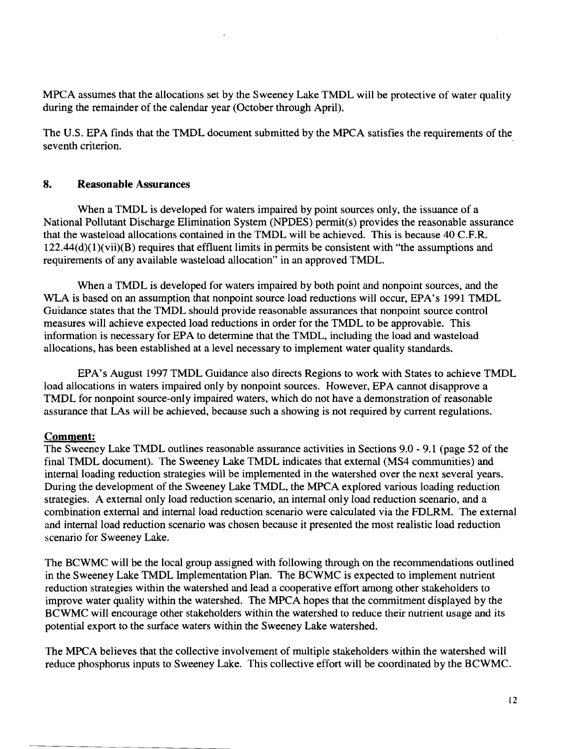MPCA assumes that the allocations set by the Sweeney Lake TMDL will be protective of water quality during the remainder of the calendar year (October through April).

The U.S. EPA finds that the TMDL document submitted by the MPCA satisfies the requirements of the seventh criterion.

# **8. Reasonable Assurances**

When a TMDL is developed for waters impaired by point sources only, the issuance of a National Pollutant Discharge Elimination System (NPDES) permit(s) provides the reasonable assurance that the wasteload allocations contained in the TMDL will be achieved. This is because 40 C.F.R.  $122.44(d)(1)(vii)(B)$  requires that effluent limits in permits be consistent with "the assumptions and requirements of any available wasteload allocation" in an approved TMDL.

When a TMDL is developed for waters impaired by both point and nonpoint sources, and the WLA is based on an assumption that nonpoint source load reductions will occur, EPA's 1991 TMDL Guidance states that the TMDL should provide reasonable assurances that nonpoint source control measures will achieve expected load reductions in order for the TMDL to be approvable. This information is necessary for EPA to determine that the TMDL, including the load and wasteload allocations, has been established at a level necessary to implement water quality standards.

EPA's August 1997 TMDL Guidance also directs Regions to work with States to achieve TMDL load allocations in waters impaired only by nonpoint sources. However, EPA cannot disapprove a TMDL for nonpoint source-only impaired waters, which do not have a demonstration of reasonable assurance that LAs will be achieved, because such a showing is not required by current regulations.

# **Comment:**

The Sweeney Lake TMDL outlines reasonable assurance activities in Sections 9.0 - 9.1 (page 52 of the final TMDL document). The Sweeney Lake TMDL indicates that external (MS4 communities) and internal loading reduction strategies will be implemented in the watershed over the next several years. During the development of the Sweeney Lake TMDL, the MPCA explored various loading reduction strategies. A external only load reduction scenario, an internal only load reduction scenario, and a combination external and internal load reduction scenario were calculated via the FDLRM. The external and internal load reduction scenario was chosen because it presented the most realistic load reduction scenario for Sweeney Lake.

The BCWMC will be the local group assigned with following through on the recommendations outlined in the Sweeney Lake TMDL Implementation Plan. The BCWMC is expected to implement nutrient reduction strategies within the watershed and lead a cooperative effort among other stakeholders to improve water quality within the watershed. The MPCA hopes that the commitment displayed by the BCWMC will encourage other stakeholders within the watershed to reduce their nutrient usage and its potential export to the surface waters within the Sweeney Lake watershed.

The MPCA believes that the collective involvement of multiple stakeholders within the watershed will reduce phosphorus inputs to Sweeney Lake. This collective effort will be coordinated by the BCWMC.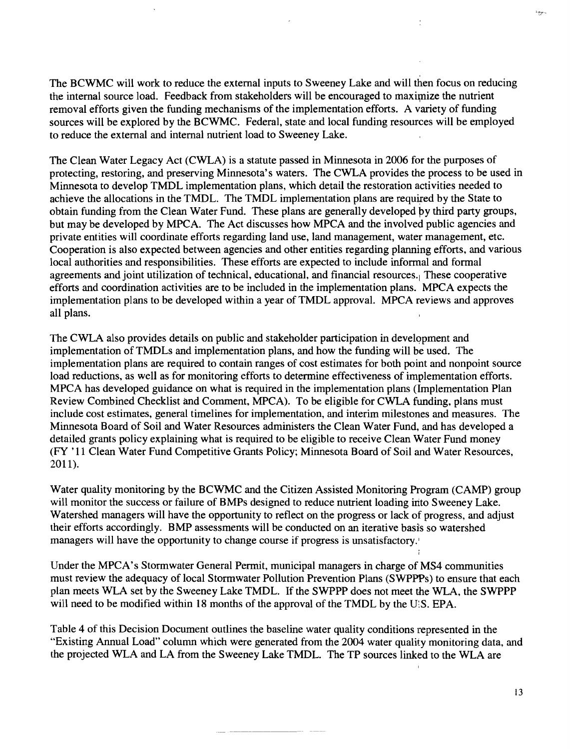The BCWMC will work to reduce the external inputs to Sweeney Lake and will then focus on reducing the internal source load. Feedback from stakeholders will be encouraged to maximize the nutrient removal efforts given the funding mechanisms of the implementation efforts. A variety of funding sources will be explored by the BCWMC. Federal, state and local funding resources will be employed to reduce the external and internal nutrient load to Sweeney Lake.

The Clean Water Legacy Act (CWLA) is a statute passed in Minnesota in 2006 for the purposes of protecting, restoring, and preserving Minnesota's waters. The CWLA provides the process to be used in Minnesota to develop TMDL implementation plans, which detail the restoration activities needed to achieve the allocations in the TMDL. The TMDL implementation plans are required by the State to obtain funding from the Clean Water Fund. These plans are generally developed py third party groups, but may be developed by MPCA. The Act discusses how MPCA and the involved public agencies and private entities will coordinate efforts regarding land use, land management, water management, etc. Cooperation is also expected between agencies and other entities regarding planning efforts, and various local authorities and responsibilities. These efforts are expected to include informal and formal agreements and joint utilization of technical, educational, and financial resources. These cooperative efforts and coordination activities are to be included in the implementation plans. MPCA expects the implementation plans to be developed within a year of TMDL approval. MPCA reviews and approves all plans.

The CWLA also provides details on public and stakeholder participation in development and implementation ofTMDLs and implementation plans, and how the funding will be used. The implementation plans are required to contain ranges of cost estimates for both point and nonpoint source load reductions, as well as for monitoring efforts to determine effectiveness of implementation efforts. MPCA has developed guidance on what is required in the implementation plans (Implementation Plan Review Combined Checklist and Comment, MPCA). To be eligible for CWLA funding, plans must include cost estimates, general timelines for implementation, and interim milestones and measures. The Minnesota Board of Soil and Water Resources administers the Clean Water Fund, and has developed a detailed grants policy explaining what is required to be eligible to receive Clean Water Fund money (FY '11 Clean Water Fund Competitive Grants Policy; Minnesota Board of Soil and Water Resources, 2011).

Water quality monitoring by the BCWMC and the Citizen Assisted Monitoring Program (CAMP) group will monitor the success or failure of BMPs designed to reduce nutrient loading into Sweeney Lake. Watershed managers will have the opportunity to reflect on the progress or lack of progress, and adjust their efforts accordingly. BMP assessments will be conducted on an iterative basis so watershed managers will have the opportunity to change course if progress is unsatisfactory.

Under the MPCA's Stormwater General Permit, municipal managers in charge of MS4 communities must review the adequacy of local Stormwater Pollution Prevention Plans (SWPPPs) to ensure that each plan meets WLA set by the Sweeney Lake TMDL. If the SWPPP does not meet the WLA, the SWPPP will need to be modified within 18 months of the approval of the TMDL by the U.S. EPA.

Table 4 of this Decision Document outlines the baseline water quality conditions represented in the "Existing Annual Load" column which were generated from the 2004 water quality monitoring data, and the projected WLA and LA from the Sweeney Lake TMDL. The TP sources linked to the WLA are

13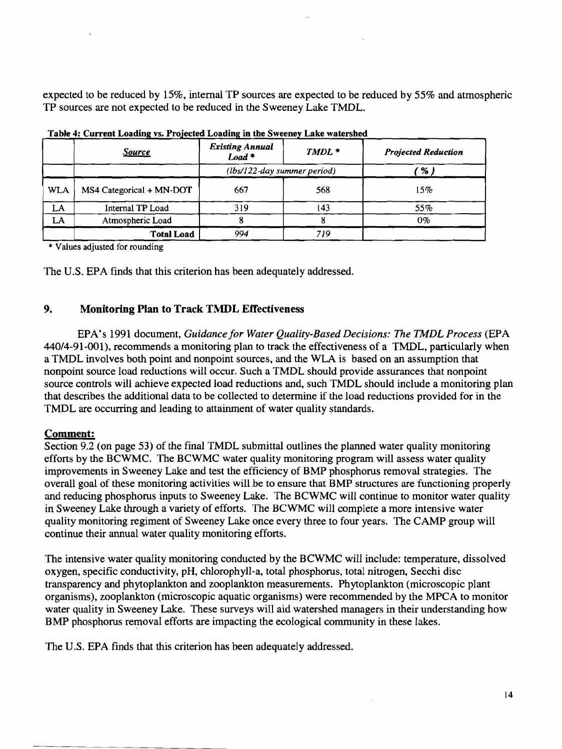expected to be reduced by 15%, internal TP sources are expected to be reduced by 55% and atmospheric TP sources are not expected to be reduced in the Sweeney Lake TMDL.

|            | <u>Source</u>            | <b>Existing Annual</b><br>$Load$ <sup>*</sup> | $TMDL$ * | <b>Projected Reduction</b> |  |
|------------|--------------------------|-----------------------------------------------|----------|----------------------------|--|
|            |                          | (lbs/122-day summer period)                   |          | ' % )                      |  |
| <b>WLA</b> | MS4 Categorical + MN-DOT | 667                                           | 568      | 15%                        |  |
| LA         | Internal TP Load         | 319                                           | 143      | 55%                        |  |
| LA         | Atmospheric Load         |                                               |          | $0\%$                      |  |
|            | <b>Total Load</b>        | 994                                           | 719      |                            |  |

Table 4: Current Loading vs. Projected Loading in the Sweeney Lake watershed

\* Values adjusted for rounding

The U.S. EPA finds that this criterion has been adequately addressed.

# 9. Monitoring Plan to Track TMDL Effectiveness

EPA's 1991 document, *Guidance for Water Quality-Based Decisions: The TMDL Process* (EPA 440/4-91-001), recommends a monitoring plan to track the effectiveness of a TMDL, particularly when a TMDL involves both point and nonpoint sources, and the WLA is based on an assumption that nonpoint source load reductions will occur. Such a TMDL should provide assurances that nonpoint source controls will achieve expected load reductions and, such TMDL should include a monitoring plan that describes the additional data to be collected to determine if the load reductions provided for in the TMDL are occurring and leading to attainment of water quality standards.

# Comment:

Section 9.2 (on page 53) of the final TMDL submittal outlines the planned water quality monitoring efforts by the BCWMC. The BCWMC water quality monitoring program will assess water quality improvements in Sweeney Lake and test the efficiency of BMP phosphorus removal strategies. The overall goal of these monitoring activities will.be to ensure that BMP structures are functioning properly and reducing phosphorus inputs to Sweeney Lake. The BCWMC will continue to monitor water quality in Sweeney Lake through a variety of efforts. The BCWMC will complete a more intensive water quality monitoring regiment of Sweeney Lake once every three to four years. The CAMP group will continue their annual water quality monitoring efforts.

The intensive water quality monitoring conducted by the BCWMC will include: temperature, dissolved oxygen, specific conductivity, pH, chlorophyll-a, total phosphorus, total nitrogen, Secchi disc transparency and phytoplankton and zooplankton measurements. Phytoplankton (microscopic plant organisms), zooplankton (microscopic aquatic organisms) were recommended by the MPCA to monitor water quality in Sweeney Lake. These surveys will aid watershed managers in their understanding how BMP phosphorus removal efforts are impacting the ecological community in these lakes.

The U.S. EPA finds that this criterion has been adequately addressed.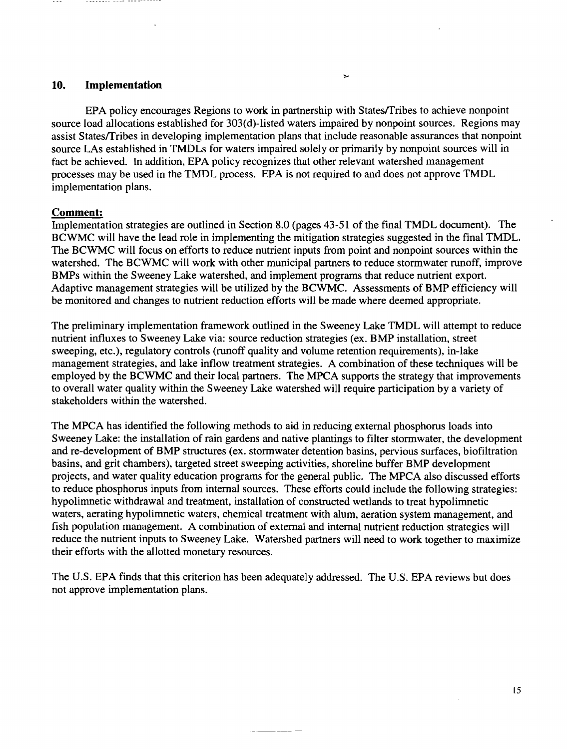### **10. Implementation**

EPA policy encourages Regions to work in partnership with StatesfTribes to achieve nonpoint source load allocations established for 303(d)-listed waters impaired by nonpoint sources. Regions may assist States/Tribes in developing implementation plans that include reasonable assurances that nonpoint source LAs established in TMDLs for waters impaired solely or primarily by nonpoint sources will in fact be achieved. In addition, EPA policy recognizes that other relevant watershed management processes may be used in the TMDL process. EPA is not required to and does not approve TMDL implementation plans.

#### **Comment:**

Implementation strategies are outlined in Section 8.0 (pages 43-51 of the final TMDL document). The BCWMC will have the lead role in implementing the mitigation strategies suggested in the final TMDL. The BCWMC will focus on efforts to reduce nutrient inputs from point and nonpoint sources within the watershed. The BCWMC will work with other municipal partners to reduce stormwater runoff, improve BMPs within the Sweeney Lake watershed, and implement programs that reduce nutrient export. Adaptive management strategies will be utilized by the BCWMC. Assessments of BMP efficiency will be monitored and changes to nutrient reduction efforts will be made where deemed appropriate.

The preliminary implementation framework outlined in the Sweeney Lake TMDL will attempt to reduce nutrient influxes to Sweeney Lake via: source reduction strategies (ex. BMP installation, street sweeping, etc.), regulatory controls (runoff quality and volume retention requirements), in-lake management strategies, and lake inflow treatment strategies. A combination of these techniques will be employed by the BCWMC and their local partners. The MPCA supports the strategy that improvements to overall water quality within the Sweeney Lake watershed will require participation by a variety of stakeholders within the watershed.

The MPCA has identified the following methods to aid in reducing external phosphorus loads into Sweeney Lake: the installation of rain gardens and native plantings to filter stormwater, the development and re-development of BMP structures (ex. stormwater detention basins, pervious surfaces, biofiltration basins, and grit chambers), targeted street sweeping activities, shoreline buffer BMP development projects, and water quality education programs for the general public. The MPCA also discussed efforts to reduce phosphorus inputs from internal sources. These efforts could include the following strategies: hypolimnetic withdrawal and treatment, installation of constructed wetlands to treat hypolimnetic waters, aerating hypolimnetic waters, chemical treatment with alum, aeration system management, and fish population management. A combination of external and internal nutrient reduction strategies will reduce the nutrient inputs to Sweeney Lake. Watershed partners will need to work together to maximize their efforts with the allotted monetary resources.

The U.S. EPA finds that this criterion has been adequately addressed. The U.S. EPA reviews but does not approve implementation plans.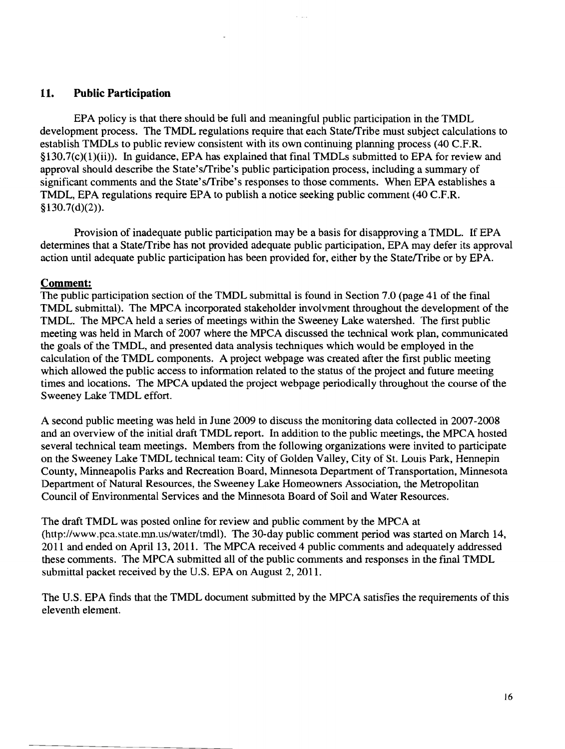## **11. Public Participation**

EPA policy is that there should be full and meaningful public participation in the TMDL development process. The TMDL regulations require that each State/Tribe must subject calculations to establish TMDLs to public review consistent with its own continuing planning process (40 C.F.R. §130.7(c)(l)(ii)). In guidance, EPA has explained that final TMDLs submitted to EPA for review and approval should describe the State'sffribe's public participation process, including a summary of significant comments and the State's/Tribe's responses to those comments. When EPA establishes a TMDL, EPA regulations require EPA to publish a notice seeking public comment (40 C.F.R. §130.7(d)(2)).

Provision of inadequate public participation may be a basis for disapproving a TMDL. If EPA determines that a State/Tribe has not provided adequate public participation, EPA may defer its approval action until adequate public participation has been provided for, either by the State/Tribe or by EPA.

## **Comment:**

The public participation section of the TMDL submittal is found in Section 7.0 (page 41 of the final TMDL submittal). The MPCA incorporated stakeholder involvment throughout the development of the TMDL. The MPCA held a series of meetings within the Sweeney Lake watershed. The first public meeting was held in March of 2007 where the MPCA discussed the technical work plan, communicated the goals of the TMDL, and presented data analysis techniques which would be employed in the calculation of the TMDL components. A project webpage was created after the first public meeting which allowed the public access to information related to the status of the project and future meeting times and locations. The MPCA updated the project webpage periodically throughout the course of the Sweeney Lake TMDL effort.

A second public meeting was held in June 2009 to discuss the monitoring data collected in 2007-2008 and an overview of the initial draft TMDL report. In addition to the public meetings, the MPCA hosted several technical team meetings. Members from the following organizations were invited to participate on the Sweeney Lake TMDL technical team: City of Golden Valley, City of St. Louis Park, Hennepin County, Minneapolis Parks and Recreation Board, Minnesota Department of Transportation, Minnesota Department of Natural Resources, the Sweeney Lake Homeowners Association, the Metropolitan Council of Environmental Services and the Minnesota Board of Soil and Water Resources.

The draft TMDL was posted online for review and public comment by the MPCA at (http://www.pca.state.mn.us/water/tmdl). The 30-day public comment period was started on March 14, 2011 and ended on April 13, 2011. The MPCA received 4 public comments and adequately addressed these comments. The MPCA submitted all of the public comments and responses in the final TMDL submittal packet received by the U.S. EPA on August 2, 2011.

The U.S. EPA finds that the TMDL document submitted by the MPCA satisfies the requirements of this eleventh element.